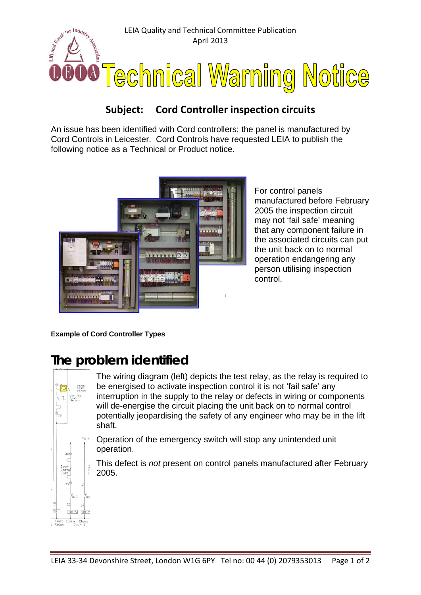

## **Subject: Cord Controller inspection circuits**

An issue has been identified with Cord controllers; the panel is manufactured by Cord Controls in Leicester. Cord Controls have requested LEIA to publish the following notice as a Technical or Product notice.



For control panels manufactured before February 2005 the inspection circuit may not 'fail safe' meaning that any component failure in the associated circuits can put the unit back on to normal operation endangering any person utilising inspection control.

**Example of Cord Controller Types**

## **The problem identified**



The wiring diagram (left) depicts the test relay, as the relay is required to be energised to activate inspection control it is not 'fail safe' any interruption in the supply to the relay or defects in wiring or components will de-energise the circuit placing the unit back on to normal control potentially jeopardising the safety of any engineer who may be in the lift shaft.

Operation of the emergency switch will stop any unintended unit operation.

This defect is *not* present on control panels manufactured after February 2005.